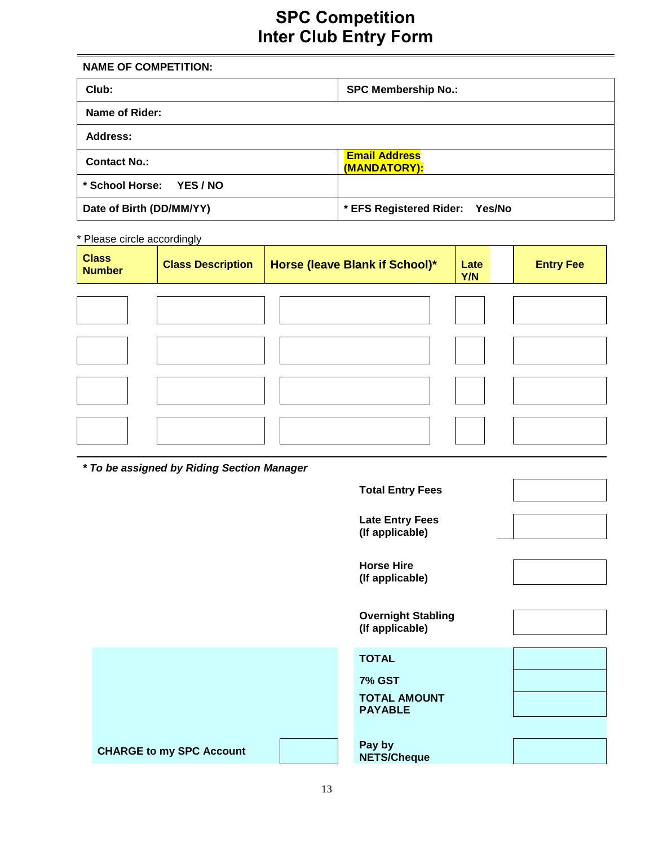# **SPC Competition Inter Club Entry Form**

| <b>NAME OF COMPETITION:</b>      |                                      |  |  |
|----------------------------------|--------------------------------------|--|--|
| Club:                            | <b>SPC Membership No.:</b>           |  |  |
| Name of Rider:                   |                                      |  |  |
| Address:                         |                                      |  |  |
| <b>Contact No.:</b>              | <b>Email Address</b><br>(MANDATORY): |  |  |
| * School Horse:<br><b>YES/NO</b> |                                      |  |  |
| Date of Birth (DD/MM/YY)         | * EFS Registered Rider: Yes/No       |  |  |

\* Please circle accordingly

| <b>Class</b><br><b>Number</b> | <b>Class Description</b> | Horse (leave Blank if School)* | Late<br>Y/N | <b>Entry Fee</b> |
|-------------------------------|--------------------------|--------------------------------|-------------|------------------|
|                               |                          |                                |             |                  |
|                               |                          |                                |             |                  |
|                               |                          |                                |             |                  |
|                               |                          |                                |             |                  |

*\* To be assigned by Riding Section Manager*

|                                 | <b>Total Entry Fees</b>                      |
|---------------------------------|----------------------------------------------|
|                                 | <b>Late Entry Fees</b><br>(If applicable)    |
|                                 | <b>Horse Hire</b><br>(If applicable)         |
|                                 | <b>Overnight Stabling</b><br>(If applicable) |
|                                 | <b>TOTAL</b>                                 |
|                                 | <b>7% GST</b>                                |
|                                 | <b>TOTAL AMOUNT</b><br><b>PAYABLE</b>        |
|                                 |                                              |
| <b>CHARGE to my SPC Account</b> | Pay by<br><b>NETS/Cheque</b>                 |